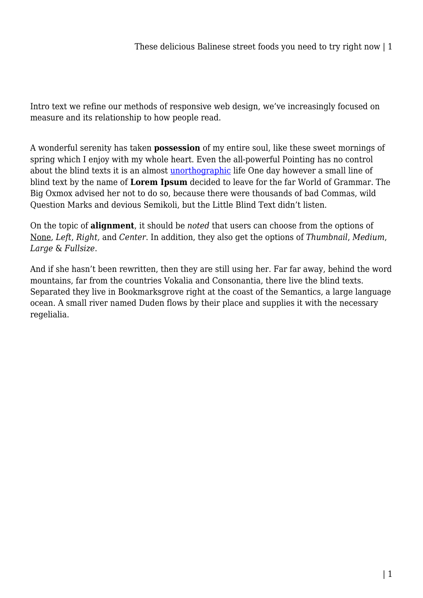Intro text we refine our methods of responsive web design, we've increasingly focused on measure and its relationship to how people read.

A wonderful serenity has taken **possession** of my entire soul, like these sweet mornings of spring which I enjoy with my whole heart. Even the all-powerful Pointing has no control about the blind texts it is an almost [unorthographic](#page--1-0) life One day however a small line of blind text by the name of **Lorem Ipsum** decided to leave for the far World of Grammar. The Big Oxmox advised her not to do so, because there were thousands of bad Commas, wild Question Marks and devious Semikoli, but the Little Blind Text didn't listen.

On the topic of **alignment**, it should be *noted* that users can choose from the options of None, *Left*, *Right,* and *Center*. In addition, they also get the options of *Thumbnail*, *Medium*, *Large* & *Fullsize*.

And if she hasn't been rewritten, then they are still using her. Far far away, behind the word mountains, far from the countries Vokalia and Consonantia, there live the blind texts. Separated they live in Bookmarksgrove right at the coast of the Semantics, a large language ocean. A small river named Duden flows by their place and supplies it with the necessary regelialia.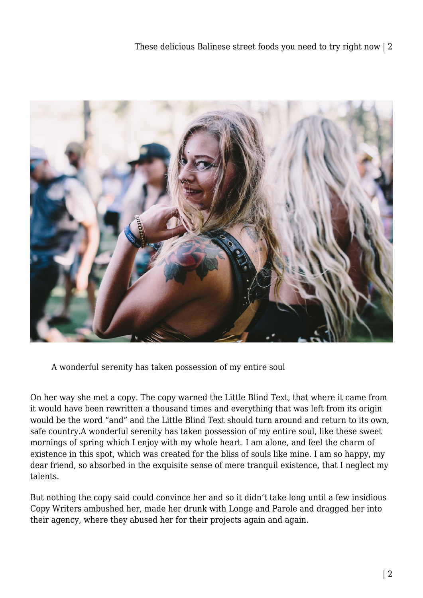

A wonderful serenity has taken possession of my entire soul

On her way she met a copy. The copy warned the Little Blind Text, that where it came from it would have been rewritten a thousand times and everything that was left from its origin would be the word "and" and the Little Blind Text should turn around and return to its own, safe country.A wonderful serenity has taken possession of my entire soul, like these sweet mornings of spring which I enjoy with my whole heart. I am alone, and feel the charm of existence in this spot, which was created for the bliss of souls like mine. I am so happy, my dear friend, so absorbed in the exquisite sense of mere tranquil existence, that I neglect my talents.

But nothing the copy said could convince her and so it didn't take long until a few insidious Copy Writers ambushed her, made her drunk with Longe and Parole and dragged her into their agency, where they abused her for their projects again and again.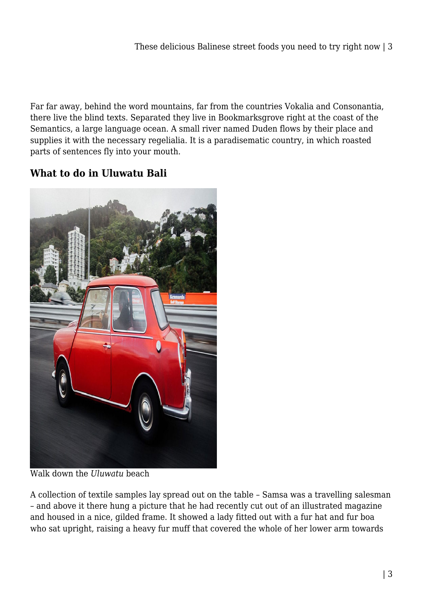Far far away, behind the word mountains, far from the countries Vokalia and Consonantia, there live the blind texts. Separated they live in Bookmarksgrove right at the coast of the Semantics, a large language ocean. A small river named Duden flows by their place and supplies it with the necessary regelialia. It is a paradisematic country, in which roasted parts of sentences fly into your mouth.

## **What to do in Uluwatu Bali**



Walk down the *Uluwatu* beach

A collection of textile samples lay spread out on the table – Samsa was a travelling salesman – and above it there hung a picture that he had recently cut out of an illustrated magazine and housed in a nice, gilded frame. It showed a lady fitted out with a fur hat and fur boa who sat upright, raising a heavy fur muff that covered the whole of her lower arm towards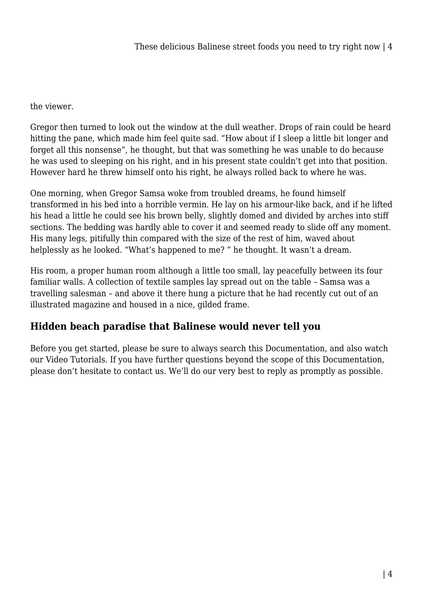the viewer.

Gregor then turned to look out the window at the dull weather. Drops of rain could be heard hitting the pane, which made him feel quite sad. "How about if I sleep a little bit longer and forget all this nonsense", he thought, but that was something he was unable to do because he was used to sleeping on his right, and in his present state couldn't get into that position. However hard he threw himself onto his right, he always rolled back to where he was.

One morning, when Gregor Samsa woke from troubled dreams, he found himself transformed in his bed into a horrible vermin. He lay on his armour-like back, and if he lifted his head a little he could see his brown belly, slightly domed and divided by arches into stiff sections. The bedding was hardly able to cover it and seemed ready to slide off any moment. His many legs, pitifully thin compared with the size of the rest of him, waved about helplessly as he looked. "What's happened to me? " he thought. It wasn't a dream.

His room, a proper human room although a little too small, lay peacefully between its four familiar walls. A collection of textile samples lay spread out on the table – Samsa was a travelling salesman – and above it there hung a picture that he had recently cut out of an illustrated magazine and housed in a nice, gilded frame.

## **Hidden beach paradise that Balinese would never tell you**

Before you get started, please be sure to always search this Documentation, and also watch our Video Tutorials. If you have further questions beyond the scope of this Documentation, please don't hesitate to contact us. We'll do our very best to reply as promptly as possible.